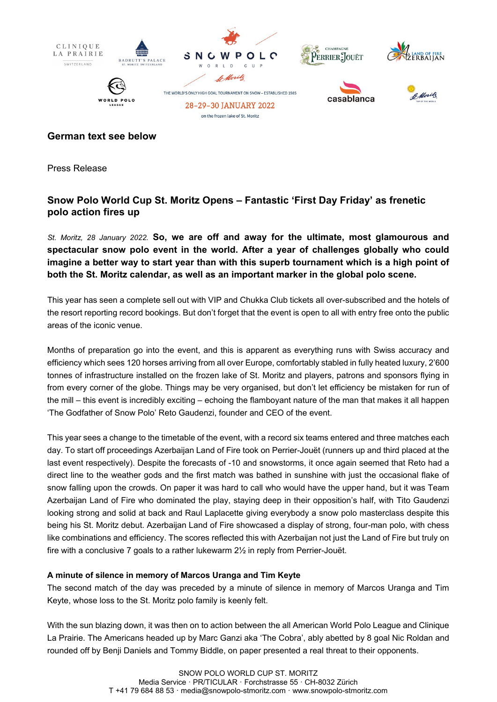

### **German text see below**

Press Release

# **Snow Polo World Cup St. Moritz Opens – Fantastic 'First Day Friday' as frenetic polo action fires up**

*St. Moritz, 28 January 2022.* **So, we are off and away for the ultimate, most glamourous and spectacular snow polo event in the world. After a year of challenges globally who could imagine a better way to start year than with this superb tournament which is a high point of both the St. Moritz calendar, as well as an important marker in the global polo scene.** 

This year has seen a complete sell out with VIP and Chukka Club tickets all over-subscribed and the hotels of the resort reporting record bookings. But don't forget that the event is open to all with entry free onto the public areas of the iconic venue.

Months of preparation go into the event, and this is apparent as everything runs with Swiss accuracy and efficiency which sees 120 horses arriving from all over Europe, comfortably stabled in fully heated luxury, 2'600 tonnes of infrastructure installed on the frozen lake of St. Moritz and players, patrons and sponsors flying in from every corner of the globe. Things may be very organised, but don't let efficiency be mistaken for run of the mill – this event is incredibly exciting – echoing the flamboyant nature of the man that makes it all happen 'The Godfather of Snow Polo' Reto Gaudenzi, founder and CEO of the event.

This year sees a change to the timetable of the event, with a record six teams entered and three matches each day. To start off proceedings Azerbaijan Land of Fire took on Perrier-Jouët (runners up and third placed at the last event respectively). Despite the forecasts of -10 and snowstorms, it once again seemed that Reto had a direct line to the weather gods and the first match was bathed in sunshine with just the occasional flake of snow falling upon the crowds. On paper it was hard to call who would have the upper hand, but it was Team Azerbaijan Land of Fire who dominated the play, staying deep in their opposition's half, with Tito Gaudenzi looking strong and solid at back and Raul Laplacette giving everybody a snow polo masterclass despite this being his St. Moritz debut. Azerbaijan Land of Fire showcased a display of strong, four-man polo, with chess like combinations and efficiency. The scores reflected this with Azerbaijan not just the Land of Fire but truly on fire with a conclusive 7 goals to a rather lukewarm 2½ in reply from Perrier-Jouët.

### **A minute of silence in memory of Marcos Uranga and Tim Keyte**

The second match of the day was preceded by a minute of silence in memory of Marcos Uranga and Tim Keyte, whose loss to the St. Moritz polo family is keenly felt.

With the sun blazing down, it was then on to action between the all American World Polo League and Clinique La Prairie. The Americans headed up by Marc Ganzi aka 'The Cobra', ably abetted by 8 goal Nic Roldan and rounded off by Benji Daniels and Tommy Biddle, on paper presented a real threat to their opponents.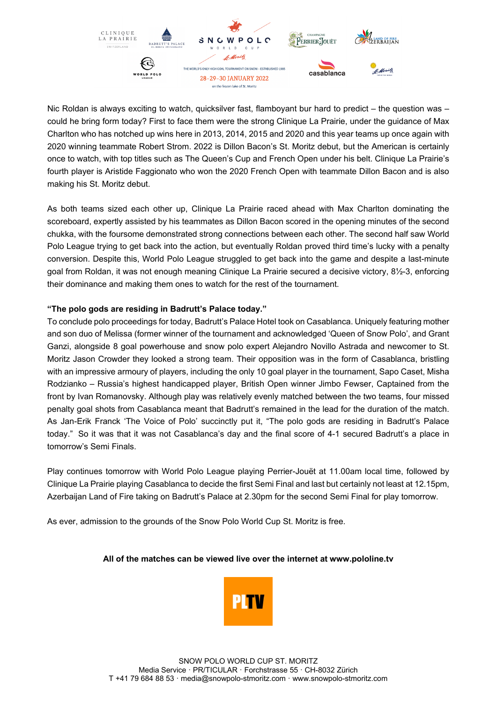

Nic Roldan is always exciting to watch, quicksilver fast, flamboyant bur hard to predict – the question was – could he bring form today? First to face them were the strong Clinique La Prairie, under the guidance of Max Charlton who has notched up wins here in 2013, 2014, 2015 and 2020 and this year teams up once again with 2020 winning teammate Robert Strom. 2022 is Dillon Bacon's St. Moritz debut, but the American is certainly once to watch, with top titles such as The Queen's Cup and French Open under his belt. Clinique La Prairie's fourth player is Aristide Faggionato who won the 2020 French Open with teammate Dillon Bacon and is also making his St. Moritz debut.

As both teams sized each other up, Clinique La Prairie raced ahead with Max Charlton dominating the scoreboard, expertly assisted by his teammates as Dillon Bacon scored in the opening minutes of the second chukka, with the foursome demonstrated strong connections between each other. The second half saw World Polo League trying to get back into the action, but eventually Roldan proved third time's lucky with a penalty conversion. Despite this, World Polo League struggled to get back into the game and despite a last-minute goal from Roldan, it was not enough meaning Clinique La Prairie secured a decisive victory, 8½-3, enforcing their dominance and making them ones to watch for the rest of the tournament.

### **"The polo gods are residing in Badrutt's Palace today."**

To conclude polo proceedings for today, Badrutt's Palace Hotel took on Casablanca. Uniquely featuring mother and son duo of Melissa (former winner of the tournament and acknowledged 'Queen of Snow Polo', and Grant Ganzi, alongside 8 goal powerhouse and snow polo expert Alejandro Novillo Astrada and newcomer to St. Moritz Jason Crowder they looked a strong team. Their opposition was in the form of Casablanca, bristling with an impressive armoury of players, including the only 10 goal player in the tournament, Sapo Caset, Misha Rodzianko – Russia's highest handicapped player, British Open winner Jimbo Fewser, Captained from the front by Ivan Romanovsky. Although play was relatively evenly matched between the two teams, four missed penalty goal shots from Casablanca meant that Badrutt's remained in the lead for the duration of the match. As Jan-Erik Franck 'The Voice of Polo' succinctly put it, "The polo gods are residing in Badrutt's Palace today." So it was that it was not Casablanca's day and the final score of 4-1 secured Badrutt's a place in tomorrow's Semi Finals.

Play continues tomorrow with World Polo League playing Perrier-Jouët at 11.00am local time, followed by Clinique La Prairie playing Casablanca to decide the first Semi Final and last but certainly not least at 12.15pm, Azerbaijan Land of Fire taking on Badrutt's Palace at 2.30pm for the second Semi Final for play tomorrow.

As ever, admission to the grounds of the Snow Polo World Cup St. Moritz is free.

### **All of the matches can be viewed live over the internet at www.pololine.tv**

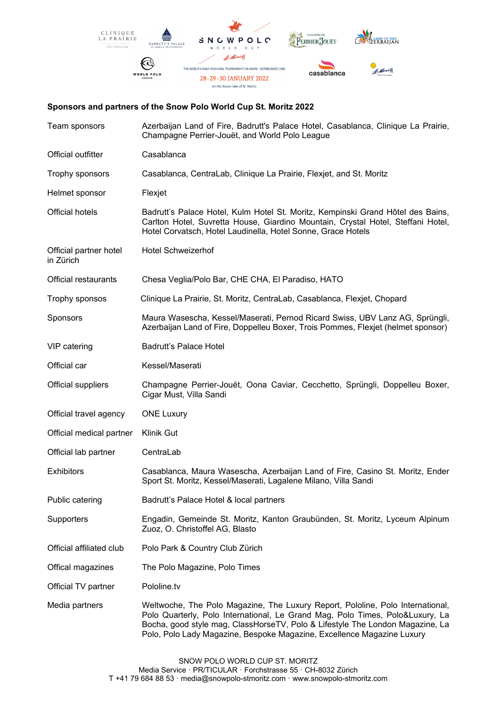

### **Sponsors and partners of the Snow Polo World Cup St. Moritz 2022**

| Team sponsors                       | Azerbaijan Land of Fire, Badrutt's Palace Hotel, Casablanca, Clinique La Prairie,<br>Champagne Perrier-Jouët, and World Polo League                                                                                                                                                                                        |
|-------------------------------------|----------------------------------------------------------------------------------------------------------------------------------------------------------------------------------------------------------------------------------------------------------------------------------------------------------------------------|
| Official outfitter                  | Casablanca                                                                                                                                                                                                                                                                                                                 |
| Trophy sponsors                     | Casablanca, CentraLab, Clinique La Prairie, Flexjet, and St. Moritz                                                                                                                                                                                                                                                        |
| Helmet sponsor                      | Flexjet                                                                                                                                                                                                                                                                                                                    |
| <b>Official hotels</b>              | Badrutt's Palace Hotel, Kulm Hotel St. Moritz, Kempinski Grand Hôtel des Bains,<br>Carlton Hotel, Suvretta House, Giardino Mountain, Crystal Hotel, Steffani Hotel,<br>Hotel Corvatsch, Hotel Laudinella, Hotel Sonne, Grace Hotels                                                                                        |
| Official partner hotel<br>in Zürich | <b>Hotel Schweizerhof</b>                                                                                                                                                                                                                                                                                                  |
| Official restaurants                | Chesa Veglia/Polo Bar, CHE CHA, El Paradiso, HATO                                                                                                                                                                                                                                                                          |
| Trophy sponsos                      | Clinique La Prairie, St. Moritz, CentraLab, Casablanca, Flexjet, Chopard                                                                                                                                                                                                                                                   |
| <b>Sponsors</b>                     | Maura Wasescha, Kessel/Maserati, Pernod Ricard Swiss, UBV Lanz AG, Sprüngli,<br>Azerbaijan Land of Fire, Doppelleu Boxer, Trois Pommes, Flexjet (helmet sponsor)                                                                                                                                                           |
| VIP catering                        | Badrutt's Palace Hotel                                                                                                                                                                                                                                                                                                     |
| Official car                        | Kessel/Maserati                                                                                                                                                                                                                                                                                                            |
| Official suppliers                  | Champagne Perrier-Jouët, Oona Caviar, Cecchetto, Sprüngli, Doppelleu Boxer,<br>Cigar Must, Villa Sandi                                                                                                                                                                                                                     |
| Official travel agency              | <b>ONE Luxury</b>                                                                                                                                                                                                                                                                                                          |
| Official medical partner            | Klinik Gut                                                                                                                                                                                                                                                                                                                 |
| Official lab partner                | CentraLab                                                                                                                                                                                                                                                                                                                  |
| <b>Exhibitors</b>                   | Casablanca, Maura Wasescha, Azerbaijan Land of Fire, Casino St. Moritz, Ender<br>Sport St. Moritz, Kessel/Maserati, Lagalene Milano, Villa Sandi                                                                                                                                                                           |
| Public catering                     | Badrutt's Palace Hotel & local partners                                                                                                                                                                                                                                                                                    |
| Supporters                          | Engadin, Gemeinde St. Moritz, Kanton Graubünden, St. Moritz, Lyceum Alpinum<br>Zuoz, O. Christoffel AG, Blasto                                                                                                                                                                                                             |
| Official affiliated club            | Polo Park & Country Club Zürich                                                                                                                                                                                                                                                                                            |
| Offical magazines                   | The Polo Magazine, Polo Times                                                                                                                                                                                                                                                                                              |
| Official TV partner                 | Pololine.tv                                                                                                                                                                                                                                                                                                                |
| Media partners                      | Weltwoche, The Polo Magazine, The Luxury Report, Pololine, Polo International,<br>Polo Quarterly, Polo International, Le Grand Mag, Polo Times, Polo&Luxury, La<br>Bocha, good style mag, ClassHorseTV, Polo & Lifestyle The London Magazine, La<br>Polo, Polo Lady Magazine, Bespoke Magazine, Excellence Magazine Luxury |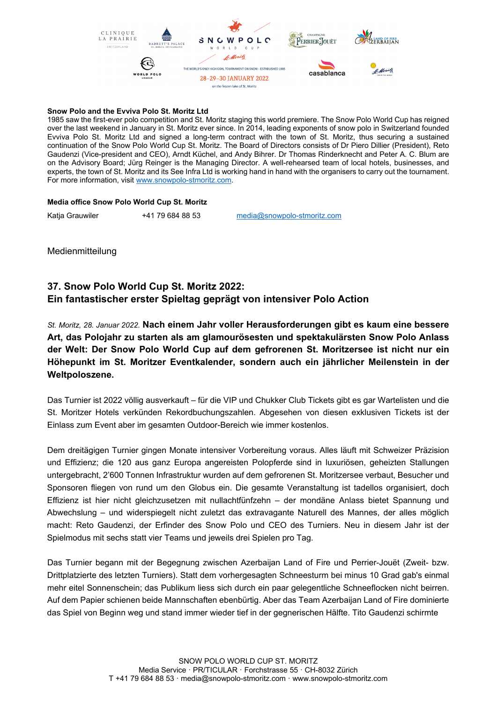

### **Snow Polo and the Evviva Polo St. Moritz Ltd**

1985 saw the first-ever polo competition and St. Moritz staging this world premiere. The Snow Polo World Cup has reigned over the last weekend in January in St. Moritz ever since. In 2014, leading exponents of snow polo in Switzerland founded Evviva Polo St. Moritz Ltd and signed a long-term contract with the town of St. Moritz, thus securing a sustained continuation of the Snow Polo World Cup St. Moritz. The Board of Directors consists of Dr Piero Dillier (President), Reto Gaudenzi (Vice-president and CEO), Arndt Küchel, and Andy Bihrer. Dr Thomas Rinderknecht and Peter A. C. Blum are on the Advisory Board; Jürg Reinger is the Managing Director. A well-rehearsed team of local hotels, businesses, and experts, the town of St. Moritz and its See Infra Ltd is working hand in hand with the organisers to carry out the tournament. For more information, visit [www.snowpolo-stmoritz.com.](http://www.snowpolo-stmoritz.com/) 

#### **Media office Snow Polo World Cup St. Moritz**

Katja Grauwiler +41 79 684 88 53 [media@snowpolo-stmoritz.com](mailto:media@snowpolo-stmoritz.com)

Medienmitteilung

# **37. Snow Polo World Cup St. Moritz 2022: Ein fantastischer erster Spieltag geprägt von intensiver Polo Action**

*St. Moritz, 28. Januar 2022.* **Nach einem Jahr voller Herausforderungen gibt es kaum eine bessere Art, das Polojahr zu starten als am glamourösesten und spektakulärsten Snow Polo Anlass der Welt: Der Snow Polo World Cup auf dem gefrorenen St. Moritzersee ist nicht nur ein Höhepunkt im St. Moritzer Eventkalender, sondern auch ein jährlicher Meilenstein in der Weltpoloszene.**

Das Turnier ist 2022 völlig ausverkauft – für die VIP und Chukker Club Tickets gibt es gar Wartelisten und die St. Moritzer Hotels verkünden Rekordbuchungszahlen. Abgesehen von diesen exklusiven Tickets ist der Einlass zum Event aber im gesamten Outdoor-Bereich wie immer kostenlos.

Dem dreitägigen Turnier gingen Monate intensiver Vorbereitung voraus. Alles läuft mit Schweizer Präzision und Effizienz; die 120 aus ganz Europa angereisten Polopferde sind in luxuriösen, geheizten Stallungen untergebracht, 2'600 Tonnen Infrastruktur wurden auf dem gefrorenen St. Moritzersee verbaut, Besucher und Sponsoren fliegen von rund um den Globus ein. Die gesamte Veranstaltung ist tadellos organisiert, doch Effizienz ist hier nicht gleichzusetzen mit nullachtfünfzehn – der mondäne Anlass bietet Spannung und Abwechslung – und widerspiegelt nicht zuletzt das extravagante Naturell des Mannes, der alles möglich macht: Reto Gaudenzi, der Erfinder des Snow Polo und CEO des Turniers. Neu in diesem Jahr ist der Spielmodus mit sechs statt vier Teams und jeweils drei Spielen pro Tag.

Das Turnier begann mit der Begegnung zwischen Azerbaijan Land of Fire und Perrier-Jouët (Zweit- bzw. Drittplatzierte des letzten Turniers). Statt dem vorhergesagten Schneesturm bei minus 10 Grad gab's einmal mehr eitel Sonnenschein; das Publikum liess sich durch ein paar gelegentliche Schneeflocken nicht beirren. Auf dem Papier schienen beide Mannschaften ebenbürtig. Aber das Team Azerbaijan Land of Fire dominierte das Spiel von Beginn weg und stand immer wieder tief in der gegnerischen Hälfte. Tito Gaudenzi schirmte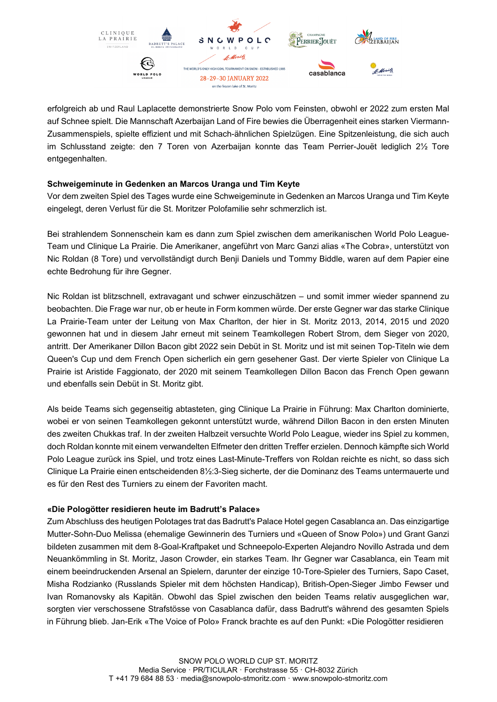

erfolgreich ab und Raul Laplacette demonstrierte Snow Polo vom Feinsten, obwohl er 2022 zum ersten Mal auf Schnee spielt. Die Mannschaft Azerbaijan Land of Fire bewies die Überragenheit eines starken Viermann-Zusammenspiels, spielte effizient und mit Schach-ähnlichen Spielzügen. Eine Spitzenleistung, die sich auch im Schlusstand zeigte: den 7 Toren von Azerbaijan konnte das Team Perrier-Jouët lediglich 2½ Tore entgegenhalten.

## **Schweigeminute in Gedenken an Marcos Uranga und Tim Keyte**

Vor dem zweiten Spiel des Tages wurde eine Schweigeminute in Gedenken an Marcos Uranga und Tim Keyte eingelegt, deren Verlust für die St. Moritzer Polofamilie sehr schmerzlich ist.

Bei strahlendem Sonnenschein kam es dann zum Spiel zwischen dem amerikanischen World Polo League-Team und Clinique La Prairie. Die Amerikaner, angeführt von Marc Ganzi alias «The Cobra», unterstützt von Nic Roldan (8 Tore) und vervollständigt durch Benji Daniels und Tommy Biddle, waren auf dem Papier eine echte Bedrohung für ihre Gegner.

Nic Roldan ist blitzschnell, extravagant und schwer einzuschätzen – und somit immer wieder spannend zu beobachten. Die Frage war nur, ob er heute in Form kommen würde. Der erste Gegner war das starke Clinique La Prairie-Team unter der Leitung von Max Charlton, der hier in St. Moritz 2013, 2014, 2015 und 2020 gewonnen hat und in diesem Jahr erneut mit seinem Teamkollegen Robert Strom, dem Sieger von 2020, antritt. Der Amerikaner Dillon Bacon gibt 2022 sein Debüt in St. Moritz und ist mit seinen Top-Titeln wie dem Queen's Cup und dem French Open sicherlich ein gern gesehener Gast. Der vierte Spieler von Clinique La Prairie ist Aristide Faggionato, der 2020 mit seinem Teamkollegen Dillon Bacon das French Open gewann und ebenfalls sein Debüt in St. Moritz gibt.

Als beide Teams sich gegenseitig abtasteten, ging Clinique La Prairie in Führung: Max Charlton dominierte, wobei er von seinen Teamkollegen gekonnt unterstützt wurde, während Dillon Bacon in den ersten Minuten des zweiten Chukkas traf. In der zweiten Halbzeit versuchte World Polo League, wieder ins Spiel zu kommen, doch Roldan konnte mit einem verwandelten Elfmeter den dritten Treffer erzielen. Dennoch kämpfte sich World Polo League zurück ins Spiel, und trotz eines Last-Minute-Treffers von Roldan reichte es nicht, so dass sich Clinique La Prairie einen entscheidenden 8½:3-Sieg sicherte, der die Dominanz des Teams untermauerte und es für den Rest des Turniers zu einem der Favoriten macht.

### **«Die Pologötter residieren heute im Badrutt's Palace»**

Zum Abschluss des heutigen Polotages trat das Badrutt's Palace Hotel gegen Casablanca an. Das einzigartige Mutter-Sohn-Duo Melissa (ehemalige Gewinnerin des Turniers und «Queen of Snow Polo») und Grant Ganzi bildeten zusammen mit dem 8-Goal-Kraftpaket und Schneepolo-Experten Alejandro Novillo Astrada und dem Neuankömmling in St. Moritz, Jason Crowder, ein starkes Team. Ihr Gegner war Casablanca, ein Team mit einem beeindruckenden Arsenal an Spielern, darunter der einzige 10-Tore-Spieler des Turniers, Sapo Caset, Misha Rodzianko (Russlands Spieler mit dem höchsten Handicap), British-Open-Sieger Jimbo Fewser und Ivan Romanovsky als Kapitän. Obwohl das Spiel zwischen den beiden Teams relativ ausgeglichen war, sorgten vier verschossene Strafstösse von Casablanca dafür, dass Badrutt's während des gesamten Spiels in Führung blieb. Jan-Erik «The Voice of Polo» Franck brachte es auf den Punkt: «Die Pologötter residieren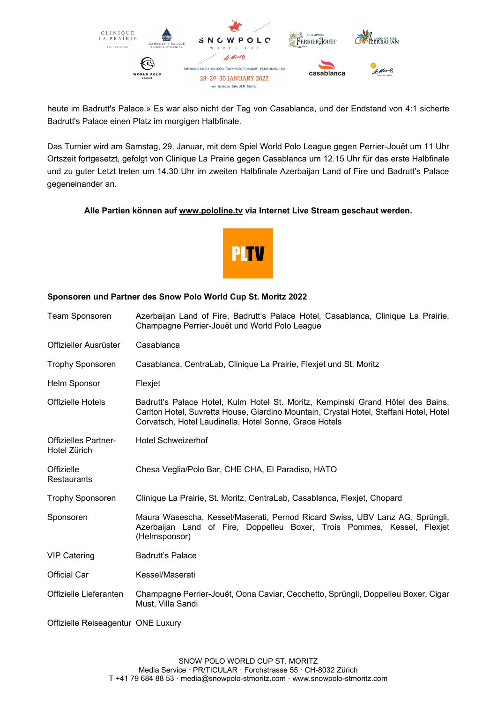

heute im Badrutt's Palace.» Es war also nicht der Tag von Casablanca, und der Endstand von 4:1 sicherte Badrutt's Palace einen Platz im morgigen Halbfinale.

Das Turnier wird am Samstag, 29. Januar, mit dem Spiel World Polo League gegen Perrier-Jouët um 11 Uhr Ortszeit fortgesetzt, gefolgt von Clinique La Prairie gegen Casablanca um 12.15 Uhr für das erste Halbfinale und zu guter Letzt treten um 14.30 Uhr im zweiten Halbfinale Azerbaijan Land of Fire und Badrutt's Palace gegeneinander an.

### **Alle Partien können auf [www.pololine.tv](http://www.pololine.tv/) via Internet Live Stream geschaut werden.**



### **Sponsoren und Partner des Snow Polo World Cup St. Moritz 2022**

| <b>Team Sponsoren</b>                       | Azerbaijan Land of Fire, Badrutt's Palace Hotel, Casablanca, Clinique La Prairie,<br>Champagne Perrier-Jouët und World Polo League                                                                                                  |
|---------------------------------------------|-------------------------------------------------------------------------------------------------------------------------------------------------------------------------------------------------------------------------------------|
| Offizieller Ausrüster                       | Casablanca                                                                                                                                                                                                                          |
| <b>Trophy Sponsoren</b>                     | Casablanca, CentraLab, Clinique La Prairie, Flexjet und St. Moritz                                                                                                                                                                  |
| Helm Sponsor                                | Flexjet                                                                                                                                                                                                                             |
| Offizielle Hotels                           | Badrutt's Palace Hotel, Kulm Hotel St. Moritz, Kempinski Grand Hôtel des Bains,<br>Carlton Hotel, Suvretta House, Giardino Mountain, Crystal Hotel, Steffani Hotel, Hotel<br>Corvatsch, Hotel Laudinella, Hotel Sonne, Grace Hotels |
| <b>Offizielles Partner-</b><br>Hotel Zürich | <b>Hotel Schweizerhof</b>                                                                                                                                                                                                           |
| Offizielle<br><b>Restaurants</b>            | Chesa Veglia/Polo Bar, CHE CHA, El Paradiso, HATO                                                                                                                                                                                   |
| <b>Trophy Sponsoren</b>                     | Clinique La Prairie, St. Moritz, CentraLab, Casablanca, Flexjet, Chopard                                                                                                                                                            |
| Sponsoren                                   | Maura Wasescha, Kessel/Maserati, Pernod Ricard Swiss, UBV Lanz AG, Sprüngli,<br>Azerbaijan Land of Fire, Doppelleu Boxer, Trois Pommes, Kessel, Flexjet<br>(Helmsponsor)                                                            |
| <b>VIP Catering</b>                         | <b>Badrutt's Palace</b>                                                                                                                                                                                                             |
| <b>Official Car</b>                         | Kessel/Maserati                                                                                                                                                                                                                     |
| Offizielle Lieferanten                      | Champagne Perrier-Jouët, Oona Caviar, Cecchetto, Sprüngli, Doppelleu Boxer, Cigar<br>Must, Villa Sandi                                                                                                                              |
| Offizielle Reiseagentur ONE Luxury          |                                                                                                                                                                                                                                     |

SNOW POLO WORLD CUP ST. MORITZ Media Service · PR/TICULAR · Forchstrasse 55 · CH-8032 Zürich T +41 79 684 88 53 · media@snowpolo-stmoritz.com · www.snowpolo-stmoritz.com